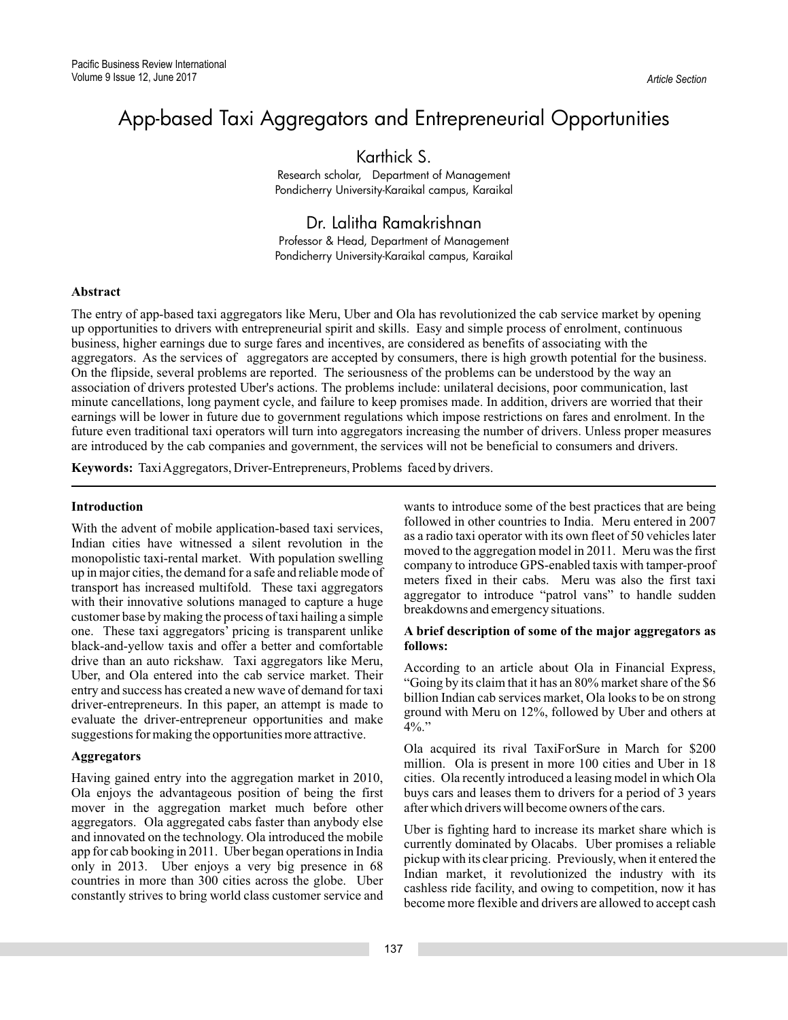# App-based Taxi Aggregators and Entrepreneurial Opportunities

# Karthick S.

Research scholar, Department of Management Pondicherry University-Karaikal campus, Karaikal

Dr. Lalitha Ramakrishnan Professor & Head, Department of Management Pondicherry University-Karaikal campus, Karaikal

# **Abstract**

The entry of app-based taxi aggregators like Meru, Uber and Ola has revolutionized the cab service market by opening up opportunities to drivers with entrepreneurial spirit and skills. Easy and simple process of enrolment, continuous business, higher earnings due to surge fares and incentives, are considered as benefits of associating with the aggregators. As the services of aggregators are accepted by consumers, there is high growth potential for the business. On the flipside, several problems are reported. The seriousness of the problems can be understood by the way an association of drivers protested Uber's actions. The problems include: unilateral decisions, poor communication, last minute cancellations, long payment cycle, and failure to keep promises made. In addition, drivers are worried that their earnings will be lower in future due to government regulations which impose restrictions on fares and enrolment. In the future even traditional taxi operators will turn into aggregators increasing the number of drivers. Unless proper measures are introduced by the cab companies and government, the services will not be beneficial to consumers and drivers.

**Keywords:** TaxiAggregators, Driver-Entrepreneurs, Problems faced by drivers.

# **Introduction**

With the advent of mobile application-based taxi services, Indian cities have witnessed a silent revolution in the monopolistic taxi-rental market. With population swelling up in major cities, the demand for a safe and reliable mode of transport has increased multifold. These taxi aggregators with their innovative solutions managed to capture a huge customer base by making the process of taxi hailing a simple one. These taxi aggregators' pricing is transparent unlike black-and-yellow taxis and offer a better and comfortable drive than an auto rickshaw. Taxi aggregators like Meru, Uber, and Ola entered into the cab service market. Their entry and success has created a new wave of demand for taxi driver-entrepreneurs. In this paper, an attempt is made to evaluate the driver-entrepreneur opportunities and make suggestions for making the opportunities more attractive.

# **Aggregators**

Having gained entry into the aggregation market in 2010, Ola enjoys the advantageous position of being the first mover in the aggregation market much before other aggregators. Ola aggregated cabs faster than anybody else and innovated on the technology. Ola introduced the mobile app for cab booking in 2011. Uber began operations in India only in 2013. Uber enjoys a very big presence in 68 countries in more than 300 cities across the globe. Uber constantly strives to bring world class customer service and

wants to introduce some of the best practices that are being followed in other countries to India. Meru entered in 2007 as a radio taxi operator with its own fleet of 50 vehicles later moved to the aggregation model in 2011. Meru was the first company to introduce GPS-enabled taxis with tamper-proof meters fixed in their cabs. Meru was also the first taxi aggregator to introduce "patrol vans" to handle sudden breakdowns and emergency situations.

# **A brief description of some of the major aggregators as follows:**

According to an article about Ola in Financial Express, "Going by its claim that it has an 80% market share of the \$6 billion Indian cab services market, Ola looks to be on strong ground with Meru on 12%, followed by Uber and others at  $4\%$ ."

Ola acquired its rival TaxiForSure in March for \$200 million. Ola is present in more 100 cities and Uber in 18 cities. Ola recently introduced a leasing model in which Ola buys cars and leases them to drivers for a period of 3 years after which drivers will become owners of the cars.

Uber is fighting hard to increase its market share which is currently dominated by Olacabs. Uber promises a reliable pickup with its clear pricing. Previously, when it entered the Indian market, it revolutionized the industry with its cashless ride facility, and owing to competition, now it has become more flexible and drivers are allowed to accept cash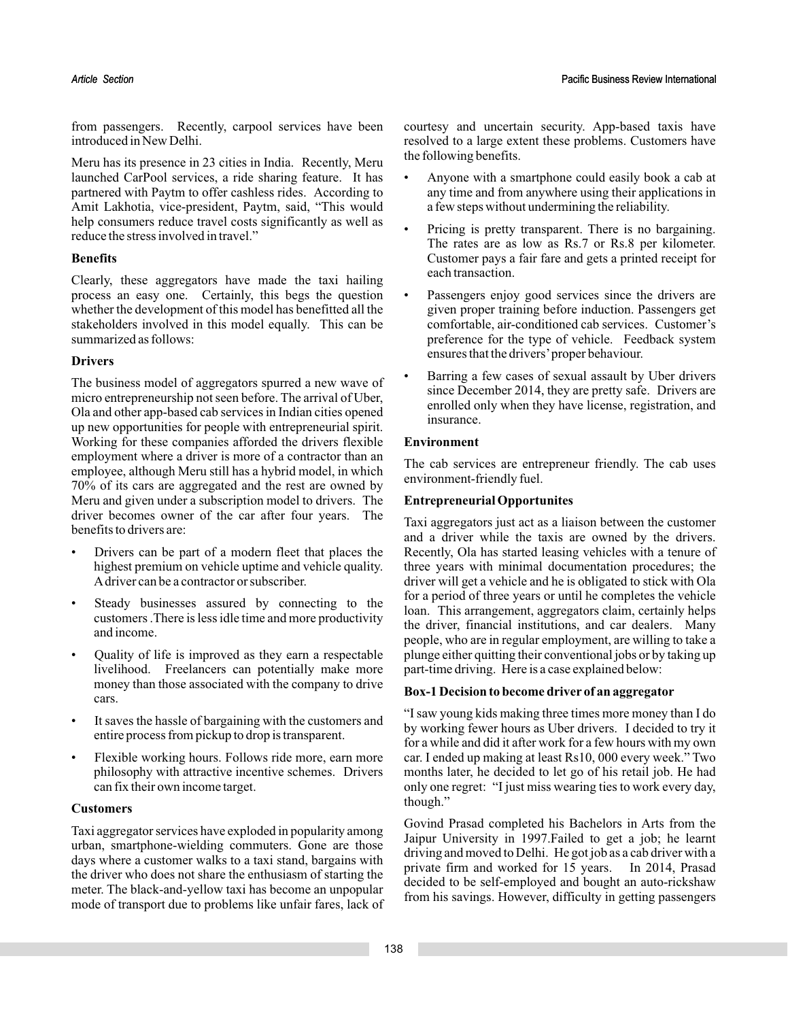from passengers. Recently, carpool services have been introduced in New Delhi.

Meru has its presence in 23 cities in India. Recently, Meru launched CarPool services, a ride sharing feature. It has partnered with Paytm to offer cashless rides. According to Amit Lakhotia, vice-president, Paytm, said, "This would help consumers reduce travel costs significantly as well as reduce the stress involved in travel."

# **Benefits**

Clearly, these aggregators have made the taxi hailing process an easy one. Certainly, this begs the question whether the development of this model has benefitted all the stakeholders involved in this model equally. This can be summarized as follows:

# **Drivers**

The business model of aggregators spurred a new wave of micro entrepreneurship not seen before. The arrival of Uber, Ola and other app-based cab services in Indian cities opened up new opportunities for people with entrepreneurial spirit. Working for these companies afforded the drivers flexible employment where a driver is more of a contractor than an employee, although Meru still has a hybrid model, in which 70% of its cars are aggregated and the rest are owned by Meru and given under a subscription model to drivers. The driver becomes owner of the car after four years. The benefits to drivers are:

- Drivers can be part of a modern fleet that places the highest premium on vehicle uptime and vehicle quality. Adriver can be a contractor or subscriber.
- Steady businesses assured by connecting to the customers .There is less idle time and more productivity and income.
- Quality of life is improved as they earn a respectable livelihood. Freelancers can potentially make more money than those associated with the company to drive cars.
- It saves the hassle of bargaining with the customers and entire process from pickup to drop is transparent.
- Flexible working hours. Follows ride more, earn more philosophy with attractive incentive schemes. Drivers can fix their own income target.

# **Customers**

Taxi aggregator services have exploded in popularity among urban, smartphone-wielding commuters. Gone are those days where a customer walks to a taxi stand, bargains with the driver who does not share the enthusiasm of starting the meter. The black-and-yellow taxi has become an unpopular mode of transport due to problems like unfair fares, lack of courtesy and uncertain security. App-based taxis have resolved to a large extent these problems. Customers have the following benefits.

- Anyone with a smartphone could easily book a cab at any time and from anywhere using their applications in a few steps without undermining the reliability.
- Pricing is pretty transparent. There is no bargaining. The rates are as low as Rs.7 or Rs.8 per kilometer. Customer pays a fair fare and gets a printed receipt for each transaction.
- Passengers enjoy good services since the drivers are given proper training before induction. Passengers get comfortable, air-conditioned cab services. Customer's preference for the type of vehicle. Feedback system ensures that the drivers'proper behaviour.
- Barring a few cases of sexual assault by Uber drivers since December 2014, they are pretty safe. Drivers are enrolled only when they have license, registration, and insurance.

# **Environment**

The cab services are entrepreneur friendly. The cab uses environment-friendly fuel.

# **Entrepreneurial Opportunites**

Taxi aggregators just act as a liaison between the customer and a driver while the taxis are owned by the drivers. Recently, Ola has started leasing vehicles with a tenure of three years with minimal documentation procedures; the driver will get a vehicle and he is obligated to stick with Ola for a period of three years or until he completes the vehicle loan. This arrangement, aggregators claim, certainly helps the driver, financial institutions, and car dealers. Many people, who are in regular employment, are willing to take a plunge either quitting their conventional jobs or by taking up part-time driving. Here is a case explained below:

# **Box-1 Decision to become driver of an aggregator**

"I saw young kids making three times more money than I do by working fewer hours as Uber drivers. I decided to try it for a while and did it after work for a few hours with my own car. I ended up making at least Rs10, 000 every week." Two months later, he decided to let go of his retail job. He had only one regret: "I just miss wearing ties to work every day, though."

Govind Prasad completed his Bachelors in Arts from the Jaipur University in 1997.Failed to get a job; he learnt driving and moved to Delhi. He got job as a cab driver with a private firm and worked for 15 years. In 2014, Prasad decided to be self-employed and bought an auto-rickshaw from his savings. However, difficulty in getting passengers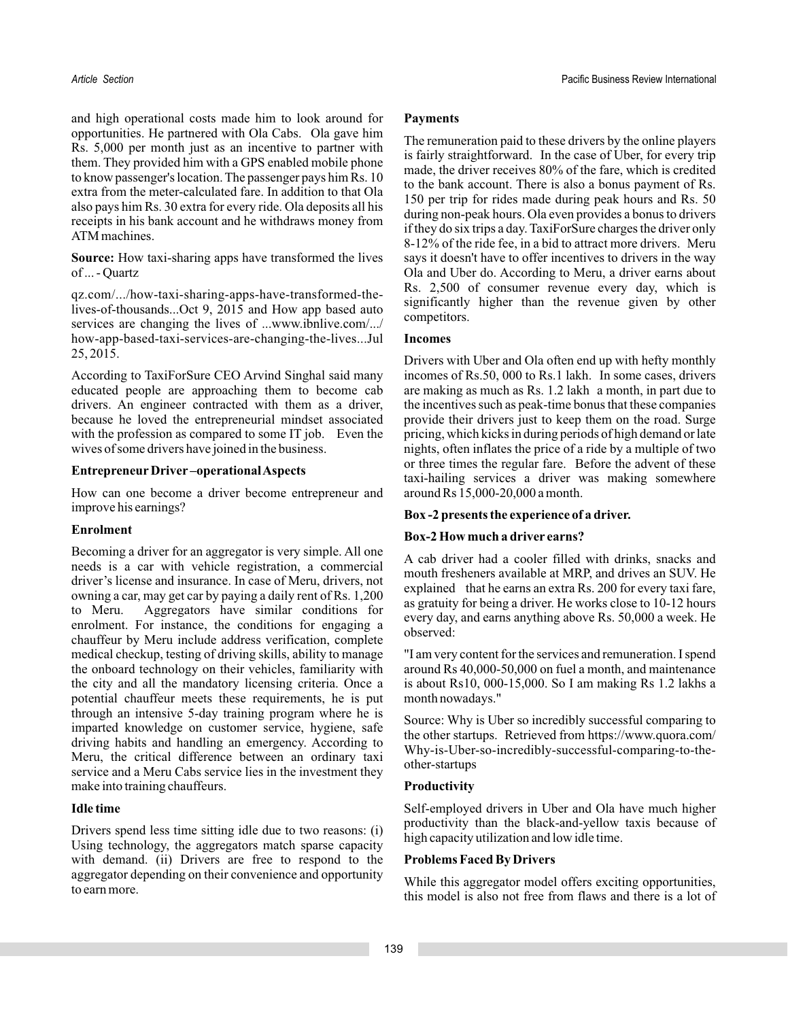and high operational costs made him to look around for opportunities. He partnered with Ola Cabs. Ola gave him Rs. 5,000 per month just as an incentive to partner with them. They provided him with a GPS enabled mobile phone to know passenger's location. The passenger pays him Rs. 10 extra from the meter-calculated fare. In addition to that Ola also pays him Rs. 30 extra for every ride. Ola deposits all his receipts in his bank account and he withdraws money from ATM machines.

Source: How taxi-sharing apps have transformed the lives of ... - Quartz

qz.com/.../how-taxi-sharing-apps-have-transformed-thelives-of-thousands...Oct 9, 2015 and How app based auto services are changing the lives of ...www.ibnlive.com/.../ how-app-based-taxi-services-are-changing-the-lives...Jul 25, 2015.

According to TaxiForSure CEO Arvind Singhal said many educated people are approaching them to become cab drivers. An engineer contracted with them as a driver, because he loved the entrepreneurial mindset associated with the profession as compared to some IT job. Even the wives of some drivers have joined in the business.

# **Entrepreneur Driver –operationalAspects**

How can one become a driver become entrepreneur and improve his earnings?

# **Enrolment**

Becoming a driver for an aggregator is very simple. All one needs is a car with vehicle registration, a commercial driver's license and insurance. In case of Meru, drivers, not owning a car, may get car by paying a daily rent of Rs. 1,200 to Meru. Aggregators have similar conditions for enrolment. For instance, the conditions for engaging a chauffeur by Meru include address verification, complete medical checkup, testing of driving skills, ability to manage the onboard technology on their vehicles, familiarity with the city and all the mandatory licensing criteria. Once a potential chauffeur meets these requirements, he is put through an intensive 5-day training program where he is imparted knowledge on customer service, hygiene, safe driving habits and handling an emergency. According to Meru, the critical difference between an ordinary taxi service and a Meru Cabs service lies in the investment they make into training chauffeurs.

# **Idle time**

Drivers spend less time sitting idle due to two reasons: (i) Using technology, the aggregators match sparse capacity with demand. (ii) Drivers are free to respond to the aggregator depending on their convenience and opportunity to earn more.

# **Payments**

The remuneration paid to these drivers by the online players is fairly straightforward. In the case of Uber, for every trip made, the driver receives 80% of the fare, which is credited to the bank account. There is also a bonus payment of Rs. 150 per trip for rides made during peak hours and Rs. 50 during non-peak hours. Ola even provides a bonus to drivers if they do six trips a day. TaxiForSure charges the driver only 8-12% of the ride fee, in a bid to attract more drivers. Meru says it doesn't have to offer incentives to drivers in the way Ola and Uber do. According to Meru, a driver earns about Rs. 2,500 of consumer revenue every day, which is significantly higher than the revenue given by other competitors.

# **Incomes**

Drivers with Uber and Ola often end up with hefty monthly incomes of Rs.50, 000 to Rs.1 lakh. In some cases, drivers are making as much as Rs. 1.2 lakh a month, in part due to the incentives such as peak-time bonus that these companies provide their drivers just to keep them on the road. Surge pricing, which kicks in during periods of high demand or late nights, often inflates the price of a ride by a multiple of two or three times the regular fare. Before the advent of these taxi-hailing services a driver was making somewhere around Rs 15,000-20,000 a month.

# **Box -2 presents the experience of a driver.**

#### **Box-2 How much a driver earns?**

A cab driver had a cooler filled with drinks, snacks and mouth fresheners available at MRP, and drives an SUV. He explained that he earns an extra Rs. 200 for every taxi fare, as gratuity for being a driver. He works close to 10-12 hours every day, and earns anything above Rs. 50,000 a week. He observed:

"I am very content for the services and remuneration. I spend around Rs 40,000-50,000 on fuel a month, and maintenance is about Rs10, 000-15,000. So I am making Rs 1.2 lakhs a month nowadays."

Source: Why is Uber so incredibly successful comparing to the other startups. Retrieved from https://www.quora.com/ Why-is-Uber-so-incredibly-successful-comparing-to-theother-startups

# **Productivity**

Self-employed drivers in Uber and Ola have much higher productivity than the black-and-yellow taxis because of high capacity utilization and low idle time.

#### **Problems Faced By Drivers**

While this aggregator model offers exciting opportunities, this model is also not free from flaws and there is a lot of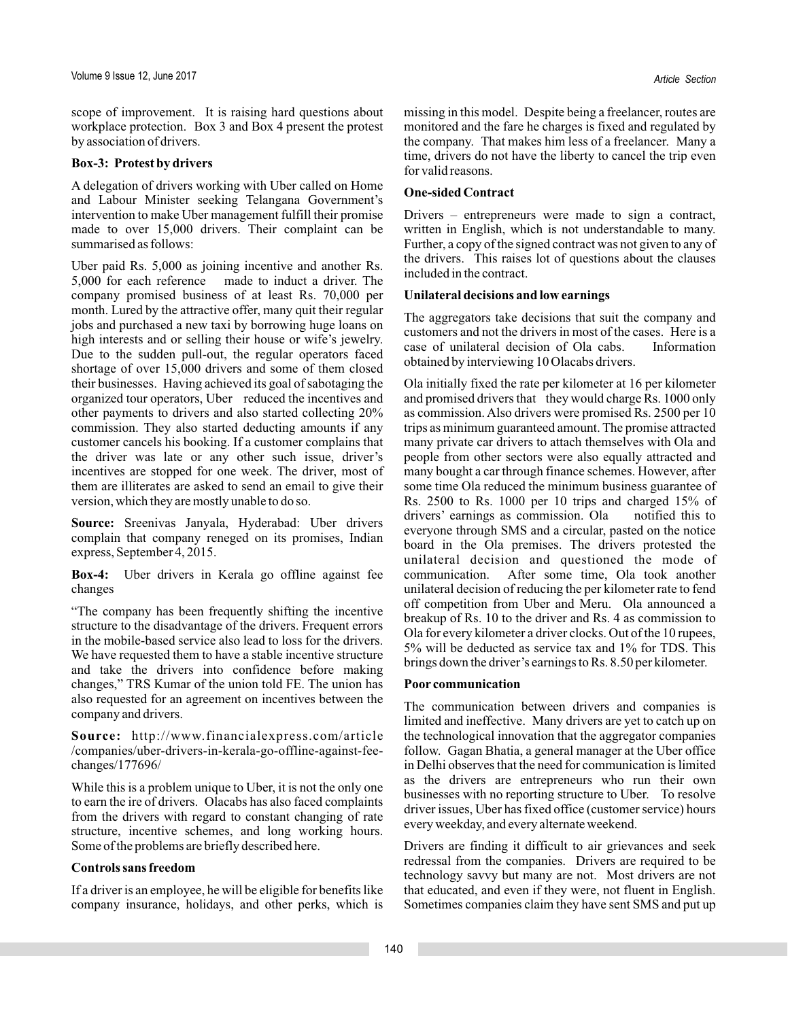scope of improvement. It is raising hard questions about workplace protection. Box 3 and Box 4 present the protest by association of drivers.

# **Box-3: Protest by drivers**

A delegation of drivers working with Uber called on Home and Labour Minister seeking Telangana Government's intervention to make Uber management fulfill their promise made to over 15,000 drivers. Their complaint can be summarised as follows:

Uber paid Rs. 5,000 as joining incentive and another Rs. 5,000 for each reference made to induct a driver. The company promised business of at least Rs. 70,000 per month. Lured by the attractive offer, many quit their regular jobs and purchased a new taxi by borrowing huge loans on high interests and or selling their house or wife's jewelry. Due to the sudden pull-out, the regular operators faced shortage of over 15,000 drivers and some of them closed their businesses. Having achieved its goal of sabotaging the organized tour operators, Uber reduced the incentives and other payments to drivers and also started collecting 20% commission. They also started deducting amounts if any customer cancels his booking. If a customer complains that the driver was late or any other such issue, driver's incentives are stopped for one week. The driver, most of them are illiterates are asked to send an email to give their version, which they are mostly unable to do so.

Source: Sreenivas Janyala, Hyderabad: Uber drivers complain that company reneged on its promises, Indian express, September 4, 2015.

Uber drivers in Kerala go offline against fee **Box-4:** changes

"The company has been frequently shifting the incentive structure to the disadvantage of the drivers. Frequent errors in the mobile-based service also lead to loss for the drivers. We have requested them to have a stable incentive structure and take the drivers into confidence before making changes," TRS Kumar of the union told FE. The union has also requested for an agreement on incentives between the company and drivers.

http://www.financialexpress.com/article **Source:** /companies/uber-drivers-in-kerala-go-offline-against-feechanges/177696/

While this is a problem unique to Uber, it is not the only one to earn the ire of drivers. Olacabs has also faced complaints from the drivers with regard to constant changing of rate structure, incentive schemes, and long working hours. Some of the problems are briefly described here.

# **Controls sans freedom**

If a driver is an employee, he will be eligible for benefits like company insurance, holidays, and other perks, which is missing in this model. Despite being a freelancer, routes are monitored and the fare he charges is fixed and regulated by the company. That makes him less of a freelancer. Many a time, drivers do not have the liberty to cancel the trip even for valid reasons.

# **One-sided Contract**

Drivers – entrepreneurs were made to sign a contract, written in English, which is not understandable to many. Further, a copy of the signed contract was not given to any of the drivers. This raises lot of questions about the clauses included in the contract.

# **Unilateral decisions and low earnings**

The aggregators take decisions that suit the company and customers and not the drivers in most of the cases. Here is a case of unilateral decision of Ola cabs. Information obtained by interviewing 10 Olacabs drivers.

Ola initially fixed the rate per kilometer at 16 per kilometer and promised drivers that they would charge Rs. 1000 only as commission. Also drivers were promised Rs. 2500 per 10 trips as minimum guaranteed amount. The promise attracted many private car drivers to attach themselves with Ola and people from other sectors were also equally attracted and many bought a car through finance schemes. However, after some time Ola reduced the minimum business guarantee of Rs. 2500 to Rs. 1000 per 10 trips and charged 15% of drivers' earnings as commission. Ola notified this to everyone through SMS and a circular, pasted on the notice board in the Ola premises. The drivers protested the unilateral decision and questioned the mode of communication. After some time, Ola took another unilateral decision of reducing the per kilometer rate to fend off competition from Uber and Meru. Ola announced a breakup of Rs. 10 to the driver and Rs. 4 as commission to Ola for every kilometer a driver clocks. Out of the 10 rupees, 5% will be deducted as service tax and 1% for TDS. This brings down the driver's earnings to Rs. 8.50 per kilometer.

# **Poor communication**

The communication between drivers and companies is limited and ineffective. Many drivers are yet to catch up on the technological innovation that the aggregator companies follow. Gagan Bhatia, a general manager at the Uber office in Delhi observes that the need for communication is limited as the drivers are entrepreneurs who run their own businesses with no reporting structure to Uber. To resolve driver issues, Uber has fixed office (customer service) hours every weekday, and every alternate weekend.

Drivers are finding it difficult to air grievances and seek redressal from the companies. Drivers are required to be technology savvy but many are not. Most drivers are not that educated, and even if they were, not fluent in English. Sometimes companies claim they have sent SMS and put up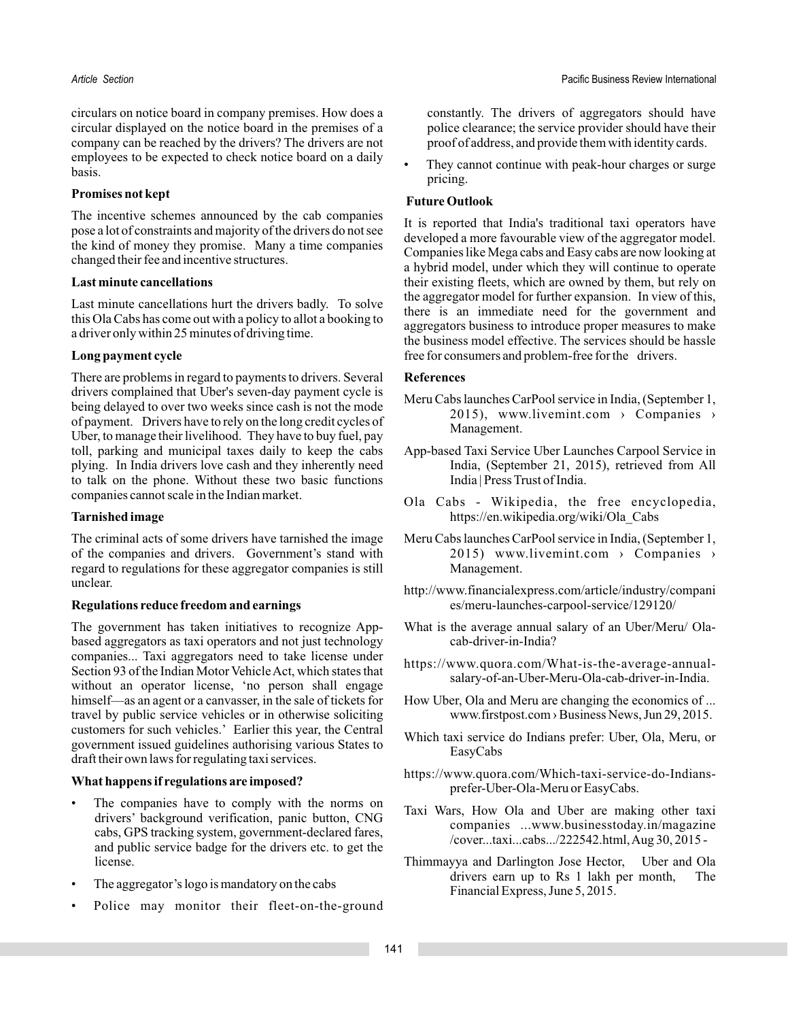circulars on notice board in company premises. How does a circular displayed on the notice board in the premises of a company can be reached by the drivers? The drivers are not employees to be expected to check notice board on a daily basis.

#### **Promises not kept**

The incentive schemes announced by the cab companies pose a lot of constraints and majority of the drivers do not see the kind of money they promise. Many a time companies changed their fee and incentive structures.

# **Last minute cancellations**

Last minute cancellations hurt the drivers badly. To solve this Ola Cabs has come out with a policy to allot a booking to a driver only within 25 minutes of driving time.

# **Long payment cycle**

There are problems in regard to payments to drivers. Several drivers complained that Uber's seven-day payment cycle is being delayed to over two weeks since cash is not the mode of payment. Drivers have to rely on the long credit cycles of Uber, to manage their livelihood. They have to buy fuel, pay toll, parking and municipal taxes daily to keep the cabs plying. In India drivers love cash and they inherently need to talk on the phone. Without these two basic functions companies cannot scale in the Indian market.

# **Tarnished image**

The criminal acts of some drivers have tarnished the image of the companies and drivers. Government's stand with regard to regulations for these aggregator companies is still unclear.

#### **Regulations reduce freedom and earnings**

The government has taken initiatives to recognize Appbased aggregators as taxi operators and not just technology companies... Taxi aggregators need to take license under Section 93 of the Indian Motor Vehicle Act, which states that without an operator license, 'no person shall engage himself—as an agent or a canvasser, in the sale of tickets for travel by public service vehicles or in otherwise soliciting customers for such vehicles.' Earlier this year, the Central government issued guidelines authorising various States to draft their own laws for regulating taxi services.

### **What happens if regulations are imposed?**

- The companies have to comply with the norms on drivers' background verification, panic button, CNG cabs, GPS tracking system, government-declared fares, and public service badge for the drivers etc. to get the license.
- The aggregator's logo is mandatory on the cabs
- Police may monitor their fleet-on-the-ground

constantly. The drivers of aggregators should have police clearance; the service provider should have their proof of address, and provide them with identity cards.

They cannot continue with peak-hour charges or surge pricing.

# **Future Outlook**

It is reported that India's traditional taxi operators have developed a more favourable view of the aggregator model. Companies like Mega cabs and Easy cabs are now looking at a hybrid model, under which they will continue to operate their existing fleets, which are owned by them, but rely on the aggregator model for further expansion. In view of this, there is an immediate need for the government and aggregators business to introduce proper measures to make the business model effective. The services should be hassle free for consumers and problem-free for the drivers.

#### **References**

- Meru Cabs launches CarPool service in India, (September 1, 2015), www.livemint.com > Companies > Management.
- App-based Taxi Service Uber Launches Carpool Service in India, (September 21, 2015), retrieved from All India | Press Trust of India.
- Ola Cabs Wikipedia, the free encyclopedia, https://en.wikipedia.org/wiki/Ola\_Cabs
- Meru Cabs launches CarPool service in India, (September 1, 2015) www.livemint.com > Companies > Management.
- http://www.financialexpress.com/article/industry/compani es/meru-launches-carpool-service/129120/
- What is the average annual salary of an Uber/Meru/ Olacab-driver-in-India?
- https://www.quora.com/What-is-the-average-annualsalary-of-an-Uber-Meru-Ola-cab-driver-in-India.
- How Uber, Ola and Meru are changing the economics of ... www.firstpost.com > Business News, Jun 29, 2015.
- Which taxi service do Indians prefer: Uber, Ola, Meru, or EasyCabs
- https://www.quora.com/Which-taxi-service-do-Indiansprefer-Uber-Ola-Meru or EasyCabs.
- Taxi Wars, How Ola and Uber are making other taxi companies ...www.businesstoday.in/magazine /cover...taxi...cabs.../222542.html,Aug 30, 2015 -
- Thimmayya and Darlington Jose Hector, Uber and Ola drivers earn up to Rs 1 lakh per month, The Financial Express, June 5, 2015.